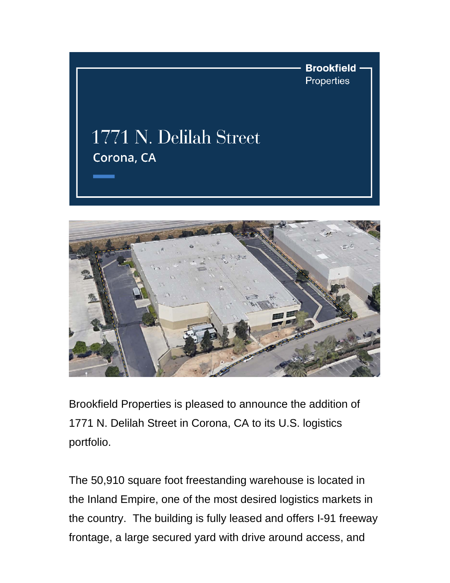



Brookfield Properties is pleased to announce the addition of 1771 N. Delilah Street in Corona, CA to its U.S. logistics portfolio.

The 50,910 square foot freestanding warehouse is located in the Inland Empire, one of the most desired logistics markets in the country. The building is fully leased and offers I-91 freeway frontage, a large secured yard with drive around access, and